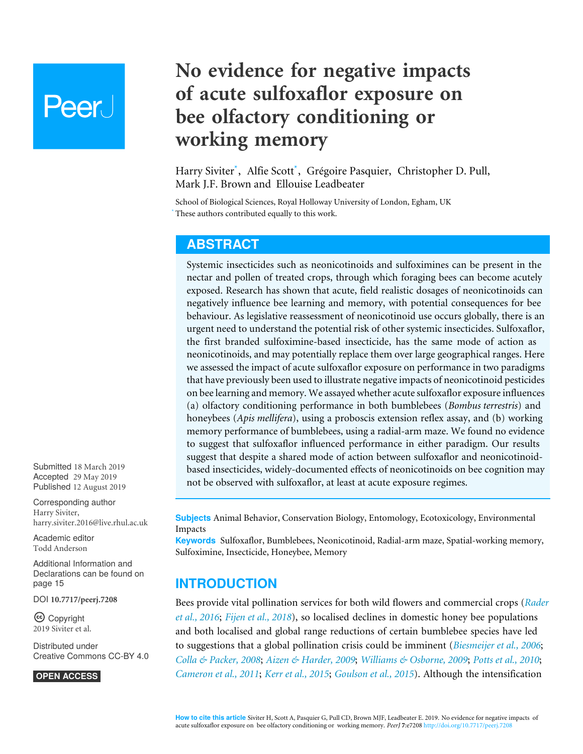# **Peer**

# **No evidence for negative impacts of acute sulfoxaflor exposure on bee olfactory conditioning or working memory**

<span id="page-0-6"></span><span id="page-0-3"></span><span id="page-0-2"></span><span id="page-0-1"></span>Harry Siviter**[\\*](#page-0-0)** , Alfie Scott**[\\*](#page-0-0)** , Grégoire Pasquier, Christopher D. Pull, Mark J.F. Brown and Ellouise Leadbeater

<span id="page-0-0"></span>School of Biological Sciences, Royal Holloway University of London, Egham, UK These authors contributed equally to this work.

# <span id="page-0-5"></span><span id="page-0-4"></span>**ABSTRACT**

Systemic insecticides such as neonicotinoids and sulfoximines can be present in the nectar and pollen of treated crops, through which foraging bees can become acutely exposed. Research has shown that acute, field realistic dosages of neonicotinoids can negatively influence bee learning and memory, with potential consequences for bee behaviour. As legislative reassessment of neonicotinoid use occurs globally, there is an urgent need to understand the potential risk of other systemic insecticides. Sulfoxaflor, the first branded sulfoximine-based insecticide, has the same mode of action as neonicotinoids, and may potentially replace them over large geographical ranges. Here we assessed the impact of acute sulfoxaflor exposure on performance in two paradigms that have previously been used to illustrate negative impacts of neonicotinoid pesticides on bee learning and memory. We assayed whether acute sulfoxaflor exposure influences (a) olfactory conditioning performance in both bumblebees (*Bombus terrestris*) and honeybees (*Apis mellifera*), using a proboscis extension reflex assay, and (b) working memory performance of bumblebees, using a radial-arm maze. We found no evidence to suggest that sulfoxaflor influenced performance in either paradigm. Our results suggest that despite a shared mode of action between sulfoxaflor and neonicotinoidbased insecticides, widely-documented effects of neonicotinoids on bee cognition may not be observed with sulfoxaflor, at least at acute exposure regimes.

Accepted 29 May 2019 Published 12 August 2019 Corresponding author

Submitted 18 March 2019

Harry Siviter, [harry.siviter.2016@live.rhul.ac.uk](mailto:harry.siviter.2016@live.rhul.ac.uk)

[Academic editor](https://peerj.com/academic-boards/editors/) [Todd Anderson](https://peerj.com/academic-boards/editors/)

[Additional Information and](#page-14-0) [Declarations can be found on](#page-14-0) [page 15](#page-14-0)

DOI **[10.7717/peerj.7208](http://dx.doi.org/10.7717/peerj.7208)**

Ccopyright 2019 Siviter et al.

[Distributed under](http://creativecommons.org/licenses/by/4.0/) [Creative Commons CC-BY 4.0](http://creativecommons.org/licenses/by/4.0/)

**OPEN ACCESS**

**Subjects** Animal Behavior, Conservation Biology, Entomology, Ecotoxicology, Environmental Impacts

**Keywords** Sulfoxaflor, Bumblebees, Neonicotinoid, Radial-arm maze, Spatial-working memory, Sulfoximine, Insecticide, Honeybee, Memory

# **INTRODUCTION**

Bees provide vital pollination services for both wild flowers and commercial crops (*[Rader](#page-19-0) [et al., 2016](#page-19-0)*; *[Fijen et al., 2018](#page-17-0)*), so localised declines in domestic honey bee populations and both localised and global range reductions of certain bumblebee species have led to suggestions that a global pollination crisis could be imminent (*[Biesmeijer et al., 2006](#page-16-0)*; *[Colla & Packer, 2008](#page-16-1)*; *[Aizen & Harder, 2009](#page-15-0)*; *[Williams & Osborne, 2009](#page-20-0)*; *[Potts et al., 2010](#page-19-1)*; *[Cameron et al., 2011](#page-16-2)*; *[Kerr et al., 2015](#page-18-0)*; *[Goulson et al., 2015](#page-17-1)*). Although the intensification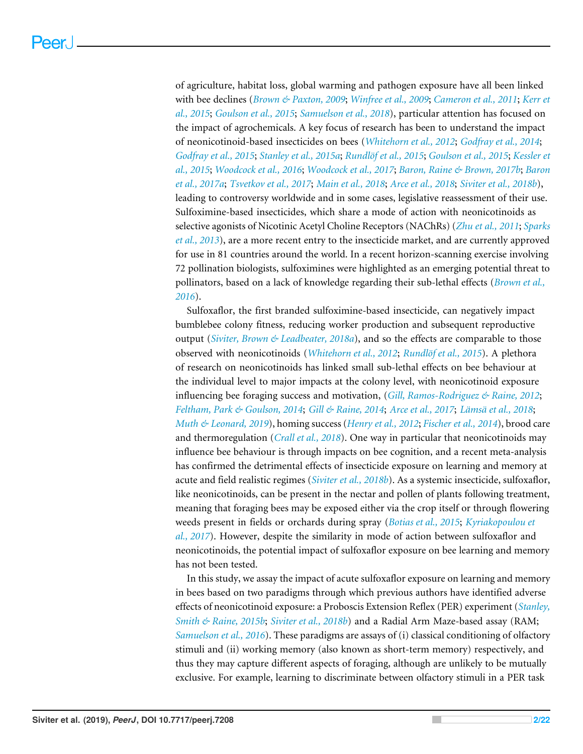of agriculture, habitat loss, global warming and pathogen exposure have all been linked with bee declines (*[Brown & Paxton, 2009](#page-16-3)*; *[Winfree et al., 2009](#page-20-1)*; *[Cameron et al., 2011](#page-16-2)*; *[Kerr et](#page-18-0) [al., 2015](#page-18-0)*; *[Goulson et al., 2015](#page-17-1)*; *[Samuelson et al., 2018](#page-19-2)*), particular attention has focused on the impact of agrochemicals. A key focus of research has been to understand the impact of neonicotinoid-based insecticides on bees (*[Whitehorn et al., 2012](#page-20-2)*; *[Godfray et al., 2014](#page-17-2)*; *[Godfray et al., 2015](#page-17-3)*; *[Stanley et al., 2015a](#page-20-3)*; *[Rundlöf et al., 2015](#page-19-3)*; *[Goulson et al., 2015](#page-17-1)*; *[Kessler et](#page-18-1) [al., 2015](#page-18-1)*; *[Woodcock et al., 2016](#page-20-4)*; *[Woodcock et al., 2017](#page-20-5)*; *[Baron, Raine & Brown, 2017b](#page-15-1)*; *[Baron](#page-15-2) [et al., 2017a](#page-15-2)*; *[Tsvetkov et al., 2017](#page-20-6)*; *[Main et al., 2018](#page-18-2)*; *[Arce et al., 2018](#page-15-3)*; *[Siviter et al., 2018b](#page-19-4)*), leading to controversy worldwide and in some cases, legislative reassessment of their use. Sulfoximine-based insecticides, which share a mode of action with neonicotinoids as selective agonists of Nicotinic Acetyl Choline Receptors (NAChRs) (*[Zhu et al., 2011](#page-21-0)*; *[Sparks](#page-20-7) [et al., 2013](#page-20-7)*), are a more recent entry to the insecticide market, and are currently approved for use in 81 countries around the world. In a recent horizon-scanning exercise involving 72 pollination biologists, sulfoximines were highlighted as an emerging potential threat to pollinators, based on a lack of knowledge regarding their sub-lethal effects (*[Brown et al.,](#page-16-4) [2016](#page-16-4)*).

Sulfoxaflor, the first branded sulfoximine-based insecticide, can negatively impact bumblebee colony fitness, reducing worker production and subsequent reproductive output (*[Siviter, Brown & Leadbeater, 2018a](#page-19-5)*), and so the effects are comparable to those observed with neonicotinoids (*[Whitehorn et al., 2012](#page-20-2)*; *[Rundlöf et al., 2015](#page-19-3)*). A plethora of research on neonicotinoids has linked small sub-lethal effects on bee behaviour at the individual level to major impacts at the colony level, with neonicotinoid exposure influencing bee foraging success and motivation, (*[Gill, Ramos-Rodriguez & Raine, 2012](#page-17-4)*; *[Feltham, Park & Goulson, 2014](#page-17-5)*; *[Gill & Raine, 2014](#page-17-6)*; *[Arce et al., 2017](#page-15-4)*; *[Lämsä et al., 2018](#page-18-3)*; *[Muth & Leonard, 2019](#page-18-4)*), homing success (*[Henry et al., 2012](#page-17-7)*; *[Fischer et al., 2014](#page-17-8)*), brood care and thermoregulation (*[Crall et al., 2018](#page-16-5)*). One way in particular that neonicotinoids may influence bee behaviour is through impacts on bee cognition, and a recent meta-analysis has confirmed the detrimental effects of insecticide exposure on learning and memory at acute and field realistic regimes (*[Siviter et al., 2018b](#page-19-4)*). As a systemic insecticide, sulfoxaflor, like neonicotinoids, can be present in the nectar and pollen of plants following treatment, meaning that foraging bees may be exposed either via the crop itself or through flowering weeds present in fields or orchards during spray (*[Botias et al., 2015](#page-16-6)*; *[Kyriakopoulou et](#page-18-5) [al., 2017](#page-18-5)*). However, despite the similarity in mode of action between sulfoxaflor and neonicotinoids, the potential impact of sulfoxaflor exposure on bee learning and memory has not been tested.

In this study, we assay the impact of acute sulfoxaflor exposure on learning and memory in bees based on two paradigms through which previous authors have identified adverse effects of neonicotinoid exposure: a Proboscis Extension Reflex (PER) experiment (*[Stanley,](#page-20-8) [Smith & Raine, 2015b](#page-20-8)*; *[Siviter et al., 2018b](#page-19-4)*) and a Radial Arm Maze-based assay (RAM; *[Samuelson et al., 2016](#page-19-6)*). These paradigms are assays of (i) classical conditioning of olfactory stimuli and (ii) working memory (also known as short-term memory) respectively, and thus they may capture different aspects of foraging, although are unlikely to be mutually exclusive. For example, learning to discriminate between olfactory stimuli in a PER task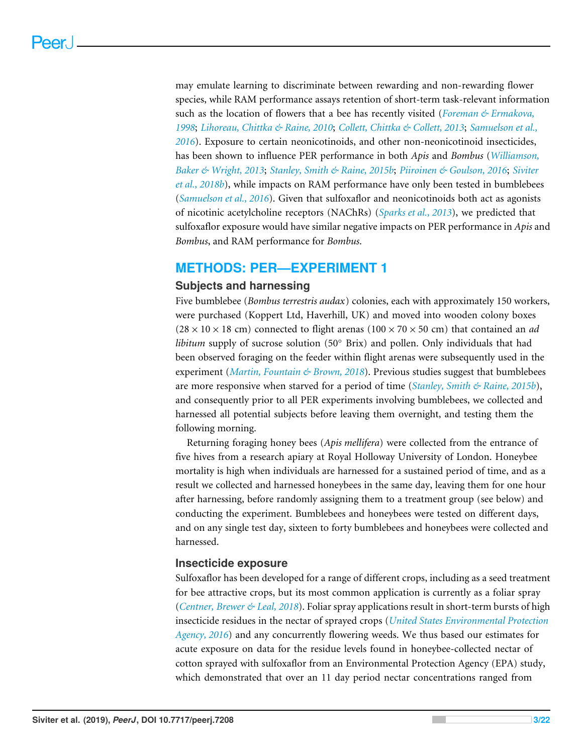may emulate learning to discriminate between rewarding and non-rewarding flower species, while RAM performance assays retention of short-term task-relevant information such as the location of flowers that a bee has recently visited (*[Foreman & Ermakova,](#page-17-9) [1998](#page-17-9)*; *[Lihoreau, Chittka & Raine, 2010](#page-18-6)*; *[Collett, Chittka & Collett, 2013](#page-16-7)*; *[Samuelson et al.,](#page-19-6) [2016](#page-19-6)*). Exposure to certain neonicotinoids, and other non-neonicotinoid insecticides, has been shown to influence PER performance in both *Apis* and *Bombus* (*[Williamson,](#page-20-9) [Baker & Wright, 2013](#page-20-9)*; *[Stanley, Smith & Raine, 2015b](#page-20-8)*; *[Piiroinen & Goulson, 2016](#page-19-7)*; *[Siviter](#page-19-4) [et al., 2018b](#page-19-4)*), while impacts on RAM performance have only been tested in bumblebees (*[Samuelson et al., 2016](#page-19-6)*). Given that sulfoxaflor and neonicotinoids both act as agonists of nicotinic acetylcholine receptors (NAChRs) (*[Sparks et al., 2013](#page-20-7)*), we predicted that sulfoxaflor exposure would have similar negative impacts on PER performance in *Apis* and *Bombus*, and RAM performance for *Bombus*.

### **METHODS: PER—EXPERIMENT 1**

#### **Subjects and harnessing**

Five bumblebee (*Bombus terrestris audax*) colonies, each with approximately 150 workers, were purchased (Koppert Ltd, Haverhill, UK) and moved into wooden colony boxes  $(28 \times 10 \times 18 \text{ cm})$  connected to flight arenas  $(100 \times 70 \times 50 \text{ cm})$  that contained an *ad libitum* supply of sucrose solution (50° Brix) and pollen. Only individuals that had been observed foraging on the feeder within flight arenas were subsequently used in the experiment (*[Martin, Fountain & Brown, 2018](#page-18-7)*). Previous studies suggest that bumblebees are more responsive when starved for a period of time (*[Stanley, Smith & Raine, 2015b](#page-20-8)*), and consequently prior to all PER experiments involving bumblebees, we collected and harnessed all potential subjects before leaving them overnight, and testing them the following morning.

Returning foraging honey bees (*Apis mellifera*) were collected from the entrance of five hives from a research apiary at Royal Holloway University of London. Honeybee mortality is high when individuals are harnessed for a sustained period of time, and as a result we collected and harnessed honeybees in the same day, leaving them for one hour after harnessing, before randomly assigning them to a treatment group (see below) and conducting the experiment. Bumblebees and honeybees were tested on different days, and on any single test day, sixteen to forty bumblebees and honeybees were collected and harnessed.

#### **Insecticide exposure**

Sulfoxaflor has been developed for a range of different crops, including as a seed treatment for bee attractive crops, but its most common application is currently as a foliar spray (*[Centner, Brewer & Leal, 2018](#page-16-8)*). Foliar spray applications result in short-term bursts of high insecticide residues in the nectar of sprayed crops (*[United States Environmental Protection](#page-20-10) [Agency, 2016](#page-20-10)*) and any concurrently flowering weeds. We thus based our estimates for acute exposure on data for the residue levels found in honeybee-collected nectar of cotton sprayed with sulfoxaflor from an Environmental Protection Agency (EPA) study, which demonstrated that over an 11 day period nectar concentrations ranged from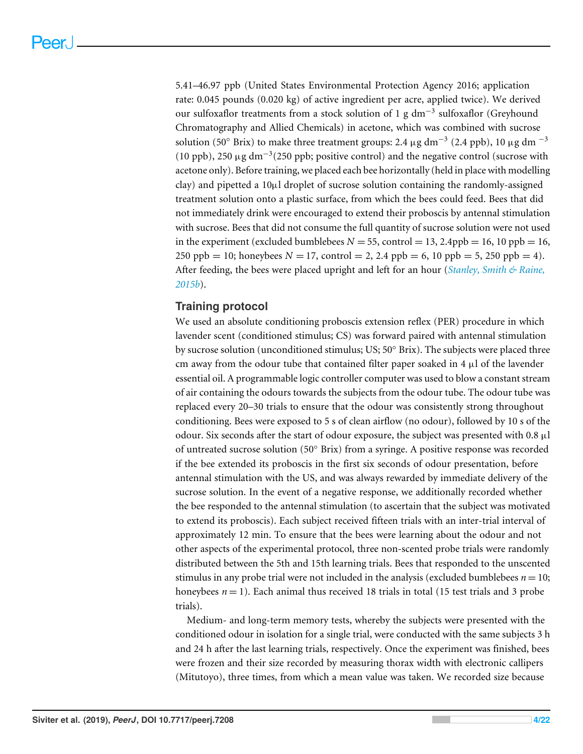5.41–46.97 ppb (United States Environmental Protection Agency 2016; application rate: 0.045 pounds (0.020 kg) of active ingredient per acre, applied twice). We derived our sulfoxaflor treatments from a stock solution of 1 g dm<sup>−3</sup> sulfoxaflor (Greyhound Chromatography and Allied Chemicals) in acetone, which was combined with sucrose solution (50° Brix) to make three treatment groups: 2.4  $\mu$ g dm<sup>-3</sup> (2.4 ppb), 10  $\mu$ g dm<sup>-3</sup> (10 ppb), 250 µg dm−<sup>3</sup> (250 ppb; positive control) and the negative control (sucrose with acetone only). Before training, we placed each bee horizontally (held in place with modelling clay) and pipetted a 10µl droplet of sucrose solution containing the randomly-assigned treatment solution onto a plastic surface, from which the bees could feed. Bees that did not immediately drink were encouraged to extend their proboscis by antennal stimulation with sucrose. Bees that did not consume the full quantity of sucrose solution were not used in the experiment (excluded bumblebees  $N = 55$ , control = 13, 2.4ppb = 16, 10 ppb = 16, 250 ppb = 10; honeybees  $N = 17$ , control = 2, 2.4 ppb = 6, 10 ppb = 5, 250 ppb = 4). After feeding, the bees were placed upright and left for an hour (*[Stanley, Smith & Raine,](#page-20-8) [2015b](#page-20-8)*).

#### **Training protocol**

We used an absolute conditioning proboscis extension reflex (PER) procedure in which lavender scent (conditioned stimulus; CS) was forward paired with antennal stimulation by sucrose solution (unconditioned stimulus; US; 50◦ Brix). The subjects were placed three cm away from the odour tube that contained filter paper soaked in 4  $\mu$ l of the lavender essential oil. A programmable logic controller computer was used to blow a constant stream of air containing the odours towards the subjects from the odour tube. The odour tube was replaced every 20–30 trials to ensure that the odour was consistently strong throughout conditioning. Bees were exposed to 5 s of clean airflow (no odour), followed by 10 s of the odour. Six seconds after the start of odour exposure, the subject was presented with  $0.8 \mu$ l of untreated sucrose solution (50◦ Brix) from a syringe. A positive response was recorded if the bee extended its proboscis in the first six seconds of odour presentation, before antennal stimulation with the US, and was always rewarded by immediate delivery of the sucrose solution. In the event of a negative response, we additionally recorded whether the bee responded to the antennal stimulation (to ascertain that the subject was motivated to extend its proboscis). Each subject received fifteen trials with an inter-trial interval of approximately 12 min. To ensure that the bees were learning about the odour and not other aspects of the experimental protocol, three non-scented probe trials were randomly distributed between the 5th and 15th learning trials. Bees that responded to the unscented stimulus in any probe trial were not included in the analysis (excluded bumblebees  $n = 10$ ; honeybees  $n = 1$ ). Each animal thus received 18 trials in total (15 test trials and 3 probe trials).

Medium- and long-term memory tests, whereby the subjects were presented with the conditioned odour in isolation for a single trial, were conducted with the same subjects 3 h and 24 h after the last learning trials, respectively. Once the experiment was finished, bees were frozen and their size recorded by measuring thorax width with electronic callipers (Mitutoyo), three times, from which a mean value was taken. We recorded size because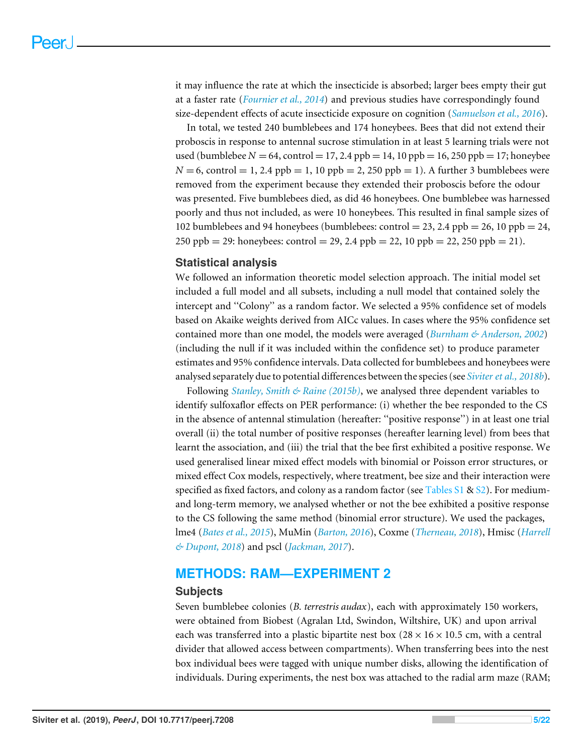it may influence the rate at which the insecticide is absorbed; larger bees empty their gut at a faster rate (*[Fournier et al., 2014](#page-17-10)*) and previous studies have correspondingly found size-dependent effects of acute insecticide exposure on cognition (*[Samuelson et al., 2016](#page-19-6)*).

In total, we tested 240 bumblebees and 174 honeybees. Bees that did not extend their proboscis in response to antennal sucrose stimulation in at least 5 learning trials were not used (bumblebee  $N = 64$ , control = 17, 2.4 ppb = 14, 10 ppb = 16, 250 ppb = 17; honeybee  $N = 6$ , control = 1, 2.4 ppb = 1, 10 ppb = 2, 250 ppb = 1). A further 3 bumblebees were removed from the experiment because they extended their proboscis before the odour was presented. Five bumblebees died, as did 46 honeybees. One bumblebee was harnessed poorly and thus not included, as were 10 honeybees. This resulted in final sample sizes of 102 bumblebees and 94 honeybees (bumblebees: control = 23, 2.4 ppb = 26, 10 ppb = 24, 250 ppb = 29: honeybees: control = 29, 2.4 ppb = 22, 10 ppb = 22, 250 ppb = 21).

#### **Statistical analysis**

We followed an information theoretic model selection approach. The initial model set included a full model and all subsets, including a null model that contained solely the intercept and ''Colony'' as a random factor. We selected a 95% confidence set of models based on Akaike weights derived from AICc values. In cases where the 95% confidence set contained more than one model, the models were averaged (*[Burnham & Anderson, 2002](#page-16-9)*) (including the null if it was included within the confidence set) to produce parameter estimates and 95% confidence intervals. Data collected for bumblebees and honeybees were analysed separately due to potential differences between the species (see *[Siviter et al., 2018b](#page-19-4)*).

Following *[Stanley, Smith & Raine \(2015b\)](#page-20-8)*, we analysed three dependent variables to identify sulfoxaflor effects on PER performance: (i) whether the bee responded to the CS in the absence of antennal stimulation (hereafter: ''positive response'') in at least one trial overall (ii) the total number of positive responses (hereafter learning level) from bees that learnt the association, and (iii) the trial that the bee first exhibited a positive response. We used generalised linear mixed effect models with binomial or Poisson error structures, or mixed effect Cox models, respectively, where treatment, bee size and their interaction were specified as fixed factors, and colony as a random factor (see [Tables S1](http://dx.doi.org/10.7717/peerj.7208#supp-1) & [S2\)](http://dx.doi.org/10.7717/peerj.7208#supp-2). For mediumand long-term memory, we analysed whether or not the bee exhibited a positive response to the CS following the same method (binomial error structure). We used the packages, lme4 (*[Bates et al., 2015](#page-16-10)*), MuMin (*[Barton, 2016](#page-16-11)*), Coxme (*[Therneau, 2018](#page-20-11)*), Hmisc (*[Harrell](#page-17-11) [& Dupont, 2018](#page-17-11)*) and pscl (*[Jackman, 2017](#page-17-12)*).

#### **METHODS: RAM—EXPERIMENT 2**

#### **Subjects**

Seven bumblebee colonies (*B. terrestris audax*), each with approximately 150 workers, were obtained from Biobest (Agralan Ltd, Swindon, Wiltshire, UK) and upon arrival each was transferred into a plastic bipartite nest box  $(28 \times 16 \times 10.5 \text{ cm})$ , with a central divider that allowed access between compartments). When transferring bees into the nest box individual bees were tagged with unique number disks, allowing the identification of individuals. During experiments, the nest box was attached to the radial arm maze (RAM;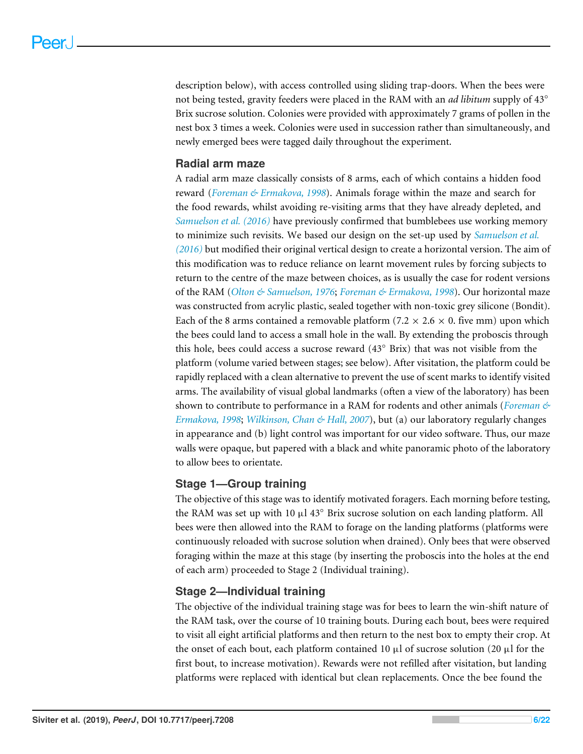description below), with access controlled using sliding trap-doors. When the bees were not being tested, gravity feeders were placed in the RAM with an *ad libitum* supply of 43◦ Brix sucrose solution. Colonies were provided with approximately 7 grams of pollen in the nest box 3 times a week. Colonies were used in succession rather than simultaneously, and newly emerged bees were tagged daily throughout the experiment.

#### **Radial arm maze**

A radial arm maze classically consists of 8 arms, each of which contains a hidden food reward (*[Foreman & Ermakova, 1998](#page-17-9)*). Animals forage within the maze and search for the food rewards, whilst avoiding re-visiting arms that they have already depleted, and *[Samuelson et al. \(2016\)](#page-19-6)* have previously confirmed that bumblebees use working memory to minimize such revisits. We based our design on the set-up used by *[Samuelson et al.](#page-19-6) [\(2016\)](#page-19-6)* but modified their original vertical design to create a horizontal version. The aim of this modification was to reduce reliance on learnt movement rules by forcing subjects to return to the centre of the maze between choices, as is usually the case for rodent versions of the RAM (*[Olton & Samuelson, 1976](#page-18-8)*; *[Foreman & Ermakova, 1998](#page-17-9)*). Our horizontal maze was constructed from acrylic plastic, sealed together with non-toxic grey silicone (Bondit). Each of the 8 arms contained a removable platform (7.2  $\times$  2.6  $\times$  0. five mm) upon which the bees could land to access a small hole in the wall. By extending the proboscis through this hole, bees could access a sucrose reward (43◦ Brix) that was not visible from the platform (volume varied between stages; see below). After visitation, the platform could be rapidly replaced with a clean alternative to prevent the use of scent marks to identify visited arms. The availability of visual global landmarks (often a view of the laboratory) has been shown to contribute to performance in a RAM for rodents and other animals (*[Foreman &](#page-17-9) [Ermakova, 1998](#page-17-9)*; *[Wilkinson, Chan & Hall, 2007](#page-20-12)*), but (a) our laboratory regularly changes in appearance and (b) light control was important for our video software. Thus, our maze walls were opaque, but papered with a black and white panoramic photo of the laboratory to allow bees to orientate.

#### **Stage 1—Group training**

The objective of this stage was to identify motivated foragers. Each morning before testing, the RAM was set up with 10  $\mu$ l 43° Brix sucrose solution on each landing platform. All bees were then allowed into the RAM to forage on the landing platforms (platforms were continuously reloaded with sucrose solution when drained). Only bees that were observed foraging within the maze at this stage (by inserting the proboscis into the holes at the end of each arm) proceeded to Stage 2 (Individual training).

#### **Stage 2—Individual training**

The objective of the individual training stage was for bees to learn the win-shift nature of the RAM task, over the course of 10 training bouts. During each bout, bees were required to visit all eight artificial platforms and then return to the nest box to empty their crop. At the onset of each bout, each platform contained 10  $\mu$ l of sucrose solution (20  $\mu$ l for the first bout, to increase motivation). Rewards were not refilled after visitation, but landing platforms were replaced with identical but clean replacements. Once the bee found the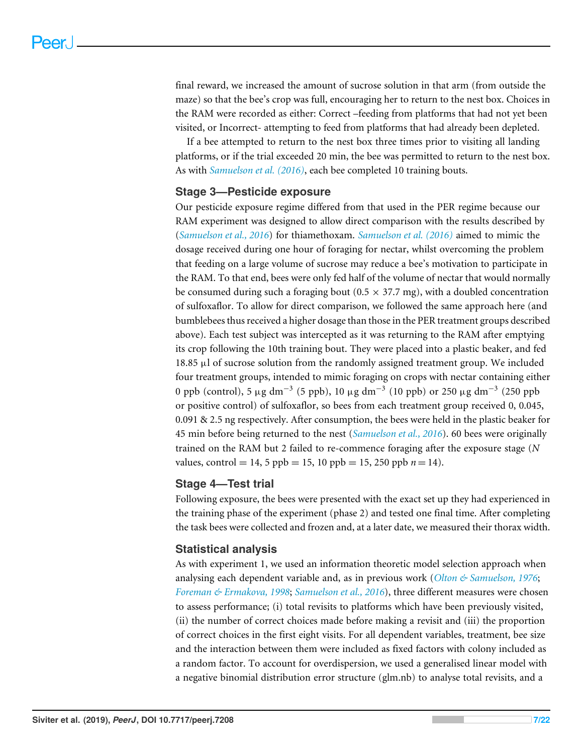final reward, we increased the amount of sucrose solution in that arm (from outside the maze) so that the bee's crop was full, encouraging her to return to the nest box. Choices in the RAM were recorded as either: Correct –feeding from platforms that had not yet been visited, or Incorrect- attempting to feed from platforms that had already been depleted.

If a bee attempted to return to the nest box three times prior to visiting all landing platforms, or if the trial exceeded 20 min, the bee was permitted to return to the nest box. As with *[Samuelson et al. \(2016\)](#page-19-6)*, each bee completed 10 training bouts.

#### **Stage 3—Pesticide exposure**

Our pesticide exposure regime differed from that used in the PER regime because our RAM experiment was designed to allow direct comparison with the results described by (*[Samuelson et al., 2016](#page-19-6)*) for thiamethoxam. *[Samuelson et al. \(2016\)](#page-19-6)* aimed to mimic the dosage received during one hour of foraging for nectar, whilst overcoming the problem that feeding on a large volume of sucrose may reduce a bee's motivation to participate in the RAM. To that end, bees were only fed half of the volume of nectar that would normally be consumed during such a foraging bout  $(0.5 \times 37.7 \text{ mg})$ , with a doubled concentration of sulfoxaflor. To allow for direct comparison, we followed the same approach here (and bumblebees thus received a higher dosage than those in the PER treatment groups described above). Each test subject was intercepted as it was returning to the RAM after emptying its crop following the 10th training bout. They were placed into a plastic beaker, and fed 18.85 µl of sucrose solution from the randomly assigned treatment group. We included four treatment groups, intended to mimic foraging on crops with nectar containing either 0 ppb (control), 5  $\mu$ g dm<sup>−3</sup> (5 ppb), 10  $\mu$ g dm<sup>−3</sup> (10 ppb) or 250  $\mu$ g dm<sup>−3</sup> (250 ppb or positive control) of sulfoxaflor, so bees from each treatment group received 0, 0.045, 0.091 & 2.5 ng respectively. After consumption, the bees were held in the plastic beaker for 45 min before being returned to the nest (*[Samuelson et al., 2016](#page-19-6)*). 60 bees were originally trained on the RAM but 2 failed to re-commence foraging after the exposure stage (*N* values, control = 14, 5 ppb = 15, 10 ppb = 15, 250 ppb  $n = 14$ ).

#### **Stage 4—Test trial**

Following exposure, the bees were presented with the exact set up they had experienced in the training phase of the experiment (phase 2) and tested one final time. After completing the task bees were collected and frozen and, at a later date, we measured their thorax width.

#### **Statistical analysis**

As with experiment 1, we used an information theoretic model selection approach when analysing each dependent variable and, as in previous work (*[Olton & Samuelson, 1976](#page-18-8)*; *[Foreman & Ermakova, 1998](#page-17-9)*; *[Samuelson et al., 2016](#page-19-6)*), three different measures were chosen to assess performance; (i) total revisits to platforms which have been previously visited, (ii) the number of correct choices made before making a revisit and (iii) the proportion of correct choices in the first eight visits. For all dependent variables, treatment, bee size and the interaction between them were included as fixed factors with colony included as a random factor. To account for overdispersion, we used a generalised linear model with a negative binomial distribution error structure (glm.nb) to analyse total revisits, and a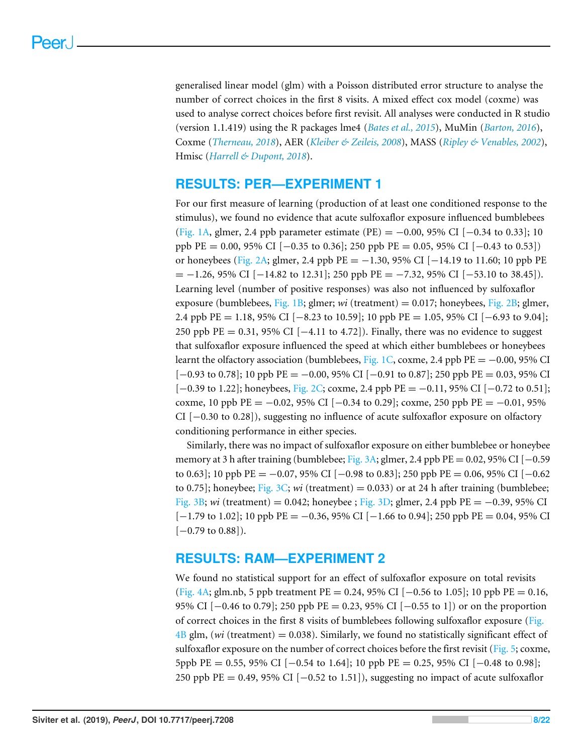generalised linear model (glm) with a Poisson distributed error structure to analyse the number of correct choices in the first 8 visits. A mixed effect cox model (coxme) was used to analyse correct choices before first revisit. All analyses were conducted in R studio (version 1.1.419) using the R packages lme4 (*[Bates et al., 2015](#page-16-10)*), MuMin (*[Barton, 2016](#page-16-11)*), Coxme (*[Therneau, 2018](#page-20-11)*), AER (*[Kleiber & Zeileis, 2008](#page-18-9)*), MASS (*[Ripley & Venables, 2002](#page-19-8)*), Hmisc (*[Harrell & Dupont, 2018](#page-17-11)*).

# **RESULTS: PER—EXPERIMENT 1**

For our first measure of learning (production of at least one conditioned response to the stimulus), we found no evidence that acute sulfoxaflor exposure influenced bumblebees [\(Fig. 1A,](#page-8-0) glmer, 2.4 ppb parameter estimate (PE) =  $-0.00$ , 95% CI [ $-0.34$  to 0.33]; 10 ppb PE = 0.00, 95% CI [−0.35 to 0.36]; 250 ppb PE = 0.05, 95% CI [−0.43 to 0.53]) or honeybees [\(Fig. 2A;](#page-9-0) glmer, 2.4 ppb PE =  $-1.30$ , 95% CI [ $-14.19$  to 11.60; 10 ppb PE  $= -1.26, 95\% \text{ CI}$  [−14.82 to 12.31]; 250 ppb PE = -7.32, 95% CI [−53.10 to 38.45]). Learning level (number of positive responses) was also not influenced by sulfoxaflor exposure (bumblebees, [Fig. 1B;](#page-8-0) glmer; *wi* (treatment) = 0.017; honeybees, [Fig. 2B;](#page-9-0) glmer, 2.4 ppb PE = 1.18, 95% CI [−8.23 to 10.59]; 10 ppb PE = 1.05, 95% CI [−6.93 to 9.04]; 250 ppb PE = 0.31, 95% CI [−4.11 to 4.72]). Finally, there was no evidence to suggest that sulfoxaflor exposure influenced the speed at which either bumblebees or honeybees learnt the olfactory association (bumblebees, [Fig. 1C,](#page-8-0) coxme, 2.4 ppb PE =  $-0.00$ , 95% CI  $[-0.93 \text{ to } 0.78]$ ; 10 ppb PE =  $-0.00$ , 95% CI  $[-0.91 \text{ to } 0.87]$ ; 250 ppb PE = 0.03, 95% CI [−0.39 to 1.22]; honeybees, [Fig. 2C;](#page-9-0) coxme, 2.4 ppb PE = −0.11, 95% CI [−0.72 to 0.51]; coxme, 10 ppb PE =  $-0.02$ , 95% CI [ $-0.34$  to 0.29]; coxme, 250 ppb PE =  $-0.01$ , 95% CI [−0.30 to 0.28]), suggesting no influence of acute sulfoxaflor exposure on olfactory conditioning performance in either species.

Similarly, there was no impact of sulfoxaflor exposure on either bumblebee or honeybee memory at 3 h after training (bumblebee; [Fig. 3A;](#page-10-0) glmer, 2.4 ppb PE = 0.02, 95% CI [ $-0.59$ ] to 0.63]; 10 ppb PE = −0.07, 95% CI [−0.98 to 0.83]; 250 ppb PE = 0.06, 95% CI [−0.62 to 0.75]; honeybee; [Fig. 3C;](#page-10-0) *wi* (treatment) = 0.033) or at 24 h after training (bumblebee; [Fig. 3B;](#page-10-0) *wi* (treatment) = 0.042; honeybee ; [Fig. 3D;](#page-10-0) glmer, 2.4 ppb PE = −0.39, 95% CI  $[-1.79 \text{ to } 1.02]$ ; 10 ppb PE =  $-0.36$ , 95% CI  $[-1.66 \text{ to } 0.94]$ ; 250 ppb PE = 0.04, 95% CI  $[-0.79 \text{ to } 0.88]$ ).

# **RESULTS: RAM—EXPERIMENT 2**

We found no statistical support for an effect of sulfoxaflor exposure on total revisits [\(Fig. 4A;](#page-11-0) glm.nb, 5 ppb treatment PE = 0.24, 95% CI [−0.56 to 1.05]; 10 ppb PE = 0.16, 95% CI [−0.46 to 0.79]; 250 ppb PE = 0.23, 95% CI [−0.55 to 1]) or on the proportion of correct choices in the first 8 visits of bumblebees following sulfoxaflor exposure [\(Fig.](#page-11-0)  $4B$  glm, (*wi* (treatment) = 0.038). Similarly, we found no statistically significant effect of sulfoxaflor exposure on the number of correct choices before the first revisit [\(Fig. 5;](#page-12-0) coxme, 5ppb PE = 0.55, 95% CI [−0.54 to 1.64]; 10 ppb PE = 0.25, 95% CI [−0.48 to 0.98]; 250 ppb PE = 0.49, 95% CI  $[-0.52 \text{ to } 1.51]$ , suggesting no impact of acute sulfoxaflor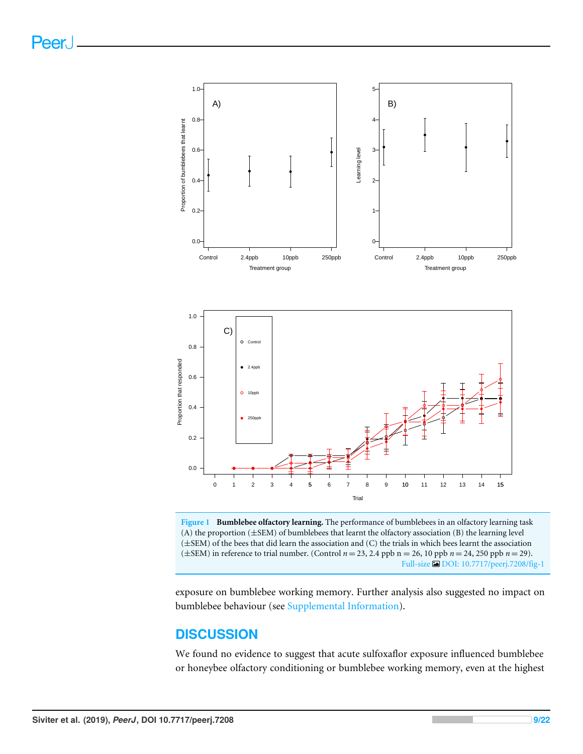<span id="page-8-0"></span>

**Figure 1 Bumblebee olfactory learning.** The performance of bumblebees in an olfactory learning task (A) the proportion (±SEM) of bumblebees that learnt the olfactory association (B) the learning level (±SEM) of the bees that did learn the association and (C) the trials in which bees learnt the association (±SEM) in reference to trial number. (Control *n* = 23, 2.4 ppb n = 26, 10 ppb *n* = 24, 250 ppb *n* = 29). Full-size [DOI: 10.7717/peerj.7208/fig-1](https://doi.org/10.7717/peerj.7208/fig-1)

exposure on bumblebee working memory. Further analysis also suggested no impact on bumblebee behaviour (see [Supplemental Information\)](http://dx.doi.org/10.7717/peerj.7208#supplemental-information).

# **DISCUSSION**

We found no evidence to suggest that acute sulfoxaflor exposure influenced bumblebee or honeybee olfactory conditioning or bumblebee working memory, even at the highest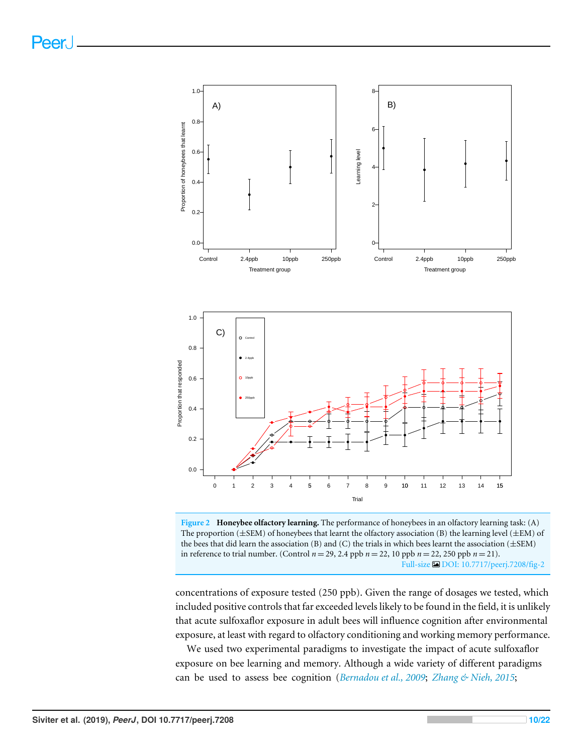<span id="page-9-0"></span>

**Figure 2 Honeybee olfactory learning.** The performance of honeybees in an olfactory learning task: (A) The proportion  $(\pm$ SEM) of honeybees that learnt the olfactory association (B) the learning level  $(\pm$ EM) of the bees that did learn the association (B) and (C) the trials in which bees learnt the association (±SEM) in reference to trial number. (Control *n* = 29, 2.4 ppb *n* = 22, 10 ppb *n* = 22, 250 ppb *n* = 21). Full-size [DOI: 10.7717/peerj.7208/fig-2](https://doi.org/10.7717/peerj.7208/fig-2)

concentrations of exposure tested (250 ppb). Given the range of dosages we tested, which included positive controls that far exceeded levels likely to be found in the field, it is unlikely that acute sulfoxaflor exposure in adult bees will influence cognition after environmental exposure, at least with regard to olfactory conditioning and working memory performance.

We used two experimental paradigms to investigate the impact of acute sulfoxaflor exposure on bee learning and memory. Although a wide variety of different paradigms can be used to assess bee cognition (*[Bernadou et al., 2009](#page-16-12)*; *[Zhang & Nieh, 2015](#page-21-1)*;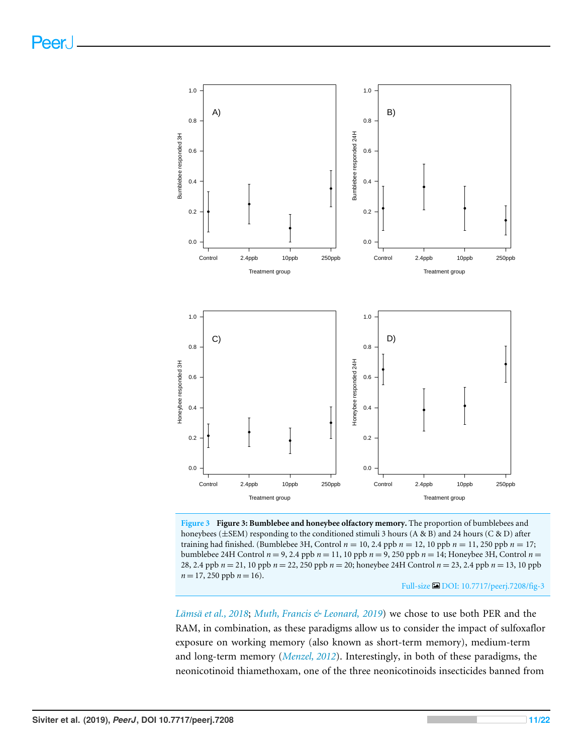<span id="page-10-0"></span>

**Figure 3 Figure 3: Bumblebee and honeybee olfactory memory.** The proportion of bumblebees and honeybees (±SEM) responding to the conditioned stimuli 3 hours (A & B) and 24 hours (C & D) after training had finished. (Bumblebee 3H, Control *n* = 10, 2.4 ppb *n* = 12, 10 ppb *n* = 11, 250 ppb *n* = 17; bumblebee 24H Control *n* = 9, 2.4 ppb *n* = 11, 10 ppb *n* = 9, 250 ppb *n* = 14; Honeybee 3H, Control *n* = 28, 2.4 ppb *n* = 21, 10 ppb *n* = 22, 250 ppb *n* = 20; honeybee 24H Control *n* = 23, 2.4 ppb *n* = 13, 10 ppb  $n = 17,250$  ppb  $n = 16$ ).

Full-size [DOI: 10.7717/peerj.7208/fig-3](https://doi.org/10.7717/peerj.7208/fig-3)

*[Lämsä et al., 2018](#page-18-3)*; *[Muth, Francis & Leonard,](#page-18-4) [2019](#page-18-4)*) we chose to use both PER and the RAM, in combination, as these paradigms allow us to consider the impact of sulfoxaflor exposure on working memory (also known as short-term memory), medium-term and long-term memory (*[Menzel, 2012](#page-18-10)*). Interestingly, in both of these paradigms, the neonicotinoid thiamethoxam, one of the three neonicotinoids insecticides banned from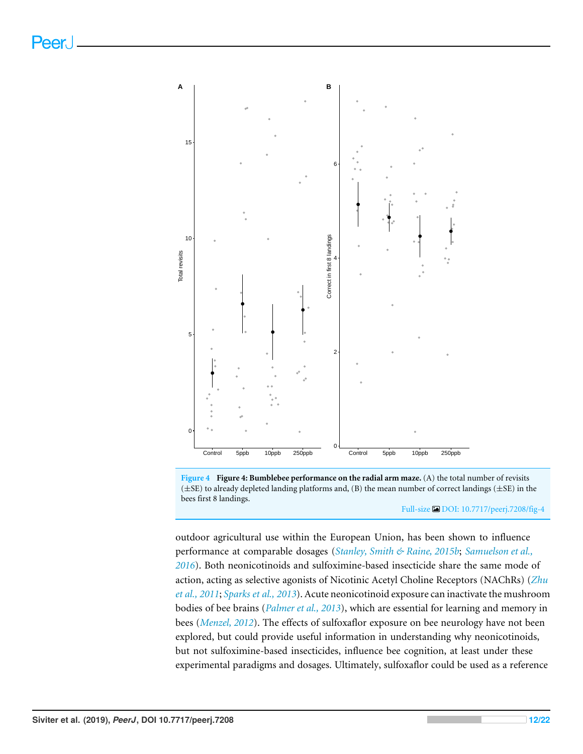<span id="page-11-0"></span>

**Figure 4 Figure 4: Bumblebee performance on the radial arm maze.** (A) the total number of revisits (±SE) to already depleted landing platforms and, (B) the mean number of correct landings (±SE) in the bees first 8 landings.

Full-size [DOI: 10.7717/peerj.7208/fig-4](https://doi.org/10.7717/peerj.7208/fig-4)

outdoor agricultural use within the European Union, has been shown to influence performance at comparable dosages (*[Stanley, Smith & Raine, 2015b](#page-20-8)*; *[Samuelson et al.,](#page-19-6) [2016](#page-19-6)*). Both neonicotinoids and sulfoximine-based insecticide share the same mode of action, acting as selective agonists of Nicotinic Acetyl Choline Receptors (NAChRs) (*[Zhu](#page-21-0) [et al., 2011](#page-21-0)*; *[Sparks et al., 2013](#page-20-7)*). Acute neonicotinoid exposure can inactivate the mushroom bodies of bee brains (*[Palmer et al., 2013](#page-19-9)*), which are essential for learning and memory in bees (*[Menzel, 2012](#page-18-10)*). The effects of sulfoxaflor exposure on bee neurology have not been explored, but could provide useful information in understanding why neonicotinoids, but not sulfoximine-based insecticides, influence bee cognition, at least under these experimental paradigms and dosages. Ultimately, sulfoxaflor could be used as a reference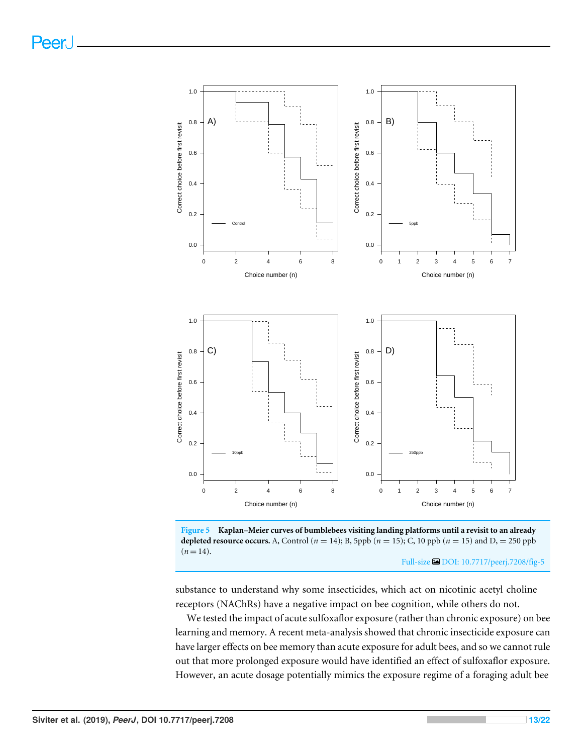<span id="page-12-0"></span>



substance to understand why some insecticides, which act on nicotinic acetyl choline receptors (NAChRs) have a negative impact on bee cognition, while others do not.

We tested the impact of acute sulfoxaflor exposure (rather than chronic exposure) on bee learning and memory. A recent meta-analysis showed that chronic insecticide exposure can have larger effects on bee memory than acute exposure for adult bees, and so we cannot rule out that more prolonged exposure would have identified an effect of sulfoxaflor exposure. However, an acute dosage potentially mimics the exposure regime of a foraging adult bee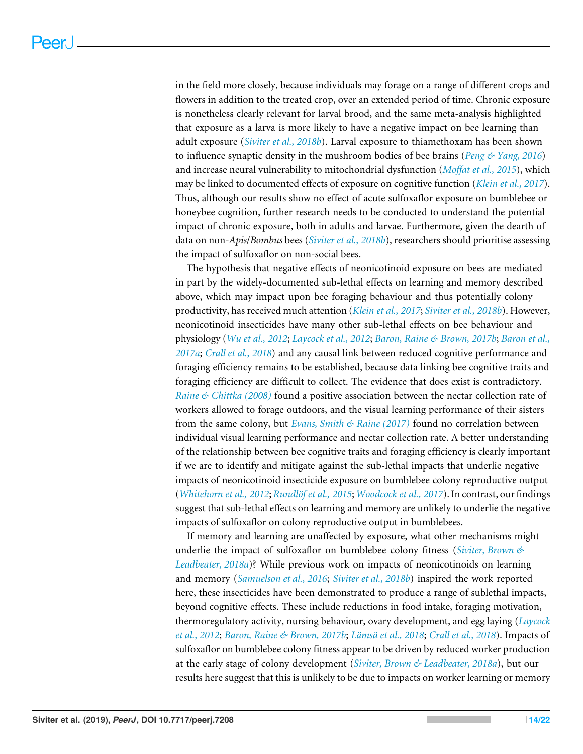in the field more closely, because individuals may forage on a range of different crops and flowers in addition to the treated crop, over an extended period of time. Chronic exposure is nonetheless clearly relevant for larval brood, and the same meta-analysis highlighted that exposure as a larva is more likely to have a negative impact on bee learning than adult exposure (*[Siviter et al., 2018b](#page-19-4)*). Larval exposure to thiamethoxam has been shown to influence synaptic density in the mushroom bodies of bee brains (*[Peng & Yang, 2016](#page-19-10)*) and increase neural vulnerability to mitochondrial dysfunction (*[Moffat et al., 2015](#page-18-11)*), which may be linked to documented effects of exposure on cognitive function (*[Klein et al., 2017](#page-18-12)*). Thus, although our results show no effect of acute sulfoxaflor exposure on bumblebee or honeybee cognition, further research needs to be conducted to understand the potential impact of chronic exposure, both in adults and larvae. Furthermore, given the dearth of data on non-*Apis*/*Bombus* bees (*[Siviter et al., 2018b](#page-19-4)*), researchers should prioritise assessing the impact of sulfoxaflor on non-social bees.

The hypothesis that negative effects of neonicotinoid exposure on bees are mediated in part by the widely-documented sub-lethal effects on learning and memory described above, which may impact upon bee foraging behaviour and thus potentially colony productivity, has received much attention (*[Klein et al., 2017](#page-18-12)*; *[Siviter et al., 2018b](#page-19-4)*). However, neonicotinoid insecticides have many other sub-lethal effects on bee behaviour and physiology (*[Wu et al., 2012](#page-20-13)*; *[Laycock et al., 2012](#page-18-13)*; *[Baron, Raine & Brown, 2017b](#page-15-1)*; *[Baron et al.,](#page-15-2) [2017a](#page-15-2)*; *[Crall et al., 2018](#page-16-5)*) and any causal link between reduced cognitive performance and foraging efficiency remains to be established, because data linking bee cognitive traits and foraging efficiency are difficult to collect. The evidence that does exist is contradictory. *[Raine & Chittka \(2008\)](#page-19-11)* found a positive association between the nectar collection rate of workers allowed to forage outdoors, and the visual learning performance of their sisters from the same colony, but *[Evans, Smith & Raine \(2017\)](#page-17-13)* found no correlation between individual visual learning performance and nectar collection rate. A better understanding of the relationship between bee cognitive traits and foraging efficiency is clearly important if we are to identify and mitigate against the sub-lethal impacts that underlie negative impacts of neonicotinoid insecticide exposure on bumblebee colony reproductive output (*[Whitehorn et al., 2012](#page-20-2)*; *[Rundlöf et al., 2015](#page-19-3)*; *[Woodcock et al., 2017](#page-20-5)*). In contrast, our findings suggest that sub-lethal effects on learning and memory are unlikely to underlie the negative impacts of sulfoxaflor on colony reproductive output in bumblebees.

If memory and learning are unaffected by exposure, what other mechanisms might underlie the impact of sulfoxaflor on bumblebee colony fitness (*[Siviter, Brown &](#page-19-5) [Leadbeater, 2018a](#page-19-5)*)? While previous work on impacts of neonicotinoids on learning and memory (*[Samuelson et al., 2016](#page-19-6)*; *[Siviter et al., 2018b](#page-19-4)*) inspired the work reported here, these insecticides have been demonstrated to produce a range of sublethal impacts, beyond cognitive effects. These include reductions in food intake, foraging motivation, thermoregulatory activity, nursing behaviour, ovary development, and egg laying (*[Laycock](#page-18-13) [et al., 2012](#page-18-13)*; *[Baron, Raine & Brown, 2017b](#page-15-1)*; *[Lämsä et al., 2018](#page-18-3)*; *[Crall et al., 2018](#page-16-5)*). Impacts of sulfoxaflor on bumblebee colony fitness appear to be driven by reduced worker production at the early stage of colony development (*[Siviter, Brown & Leadbeater, 2018a](#page-19-5)*), but our results here suggest that this is unlikely to be due to impacts on worker learning or memory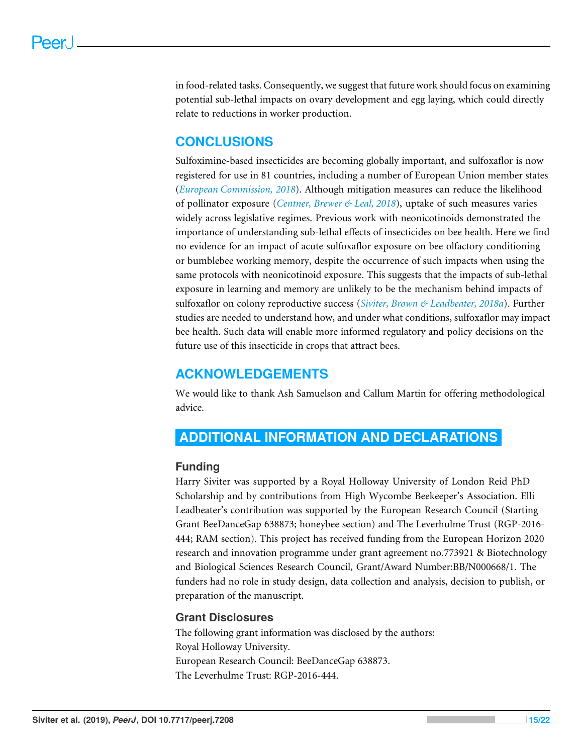in food-related tasks. Consequently, we suggest that future work should focus on examining potential sub-lethal impacts on ovary development and egg laying, which could directly relate to reductions in worker production.

# **CONCLUSIONS**

Sulfoximine-based insecticides are becoming globally important, and sulfoxaflor is now registered for use in 81 countries, including a number of European Union member states (*[European Commission,](#page-16-13) [2018](#page-16-13)*). Although mitigation measures can reduce the likelihood of pollinator exposure (*[Centner, Brewer & Leal, 2018](#page-16-8)*), uptake of such measures varies widely across legislative regimes. Previous work with neonicotinoids demonstrated the importance of understanding sub-lethal effects of insecticides on bee health. Here we find no evidence for an impact of acute sulfoxaflor exposure on bee olfactory conditioning or bumblebee working memory, despite the occurrence of such impacts when using the same protocols with neonicotinoid exposure. This suggests that the impacts of sub-lethal exposure in learning and memory are unlikely to be the mechanism behind impacts of sulfoxaflor on colony reproductive success (*[Siviter, Brown & Leadbeater, 2018a](#page-19-5)*). Further studies are needed to understand how, and under what conditions, sulfoxaflor may impact bee health. Such data will enable more informed regulatory and policy decisions on the future use of this insecticide in crops that attract bees.

# **ACKNOWLEDGEMENTS**

We would like to thank Ash Samuelson and Callum Martin for offering methodological advice.

# <span id="page-14-0"></span>**ADDITIONAL INFORMATION AND DECLARATIONS**

#### **Funding**

Harry Siviter was supported by a Royal Holloway University of London Reid PhD Scholarship and by contributions from High Wycombe Beekeeper's Association. Elli Leadbeater's contribution was supported by the European Research Council (Starting Grant BeeDanceGap 638873; honeybee section) and The Leverhulme Trust (RGP-2016- 444; RAM section). This project has received funding from the European Horizon 2020 research and innovation programme under grant agreement no.773921 & Biotechnology and Biological Sciences Research Council, Grant/Award Number:BB/N000668/1. The funders had no role in study design, data collection and analysis, decision to publish, or preparation of the manuscript.

#### **Grant Disclosures**

The following grant information was disclosed by the authors: Royal Holloway University. European Research Council: BeeDanceGap 638873. The Leverhulme Trust: RGP-2016-444.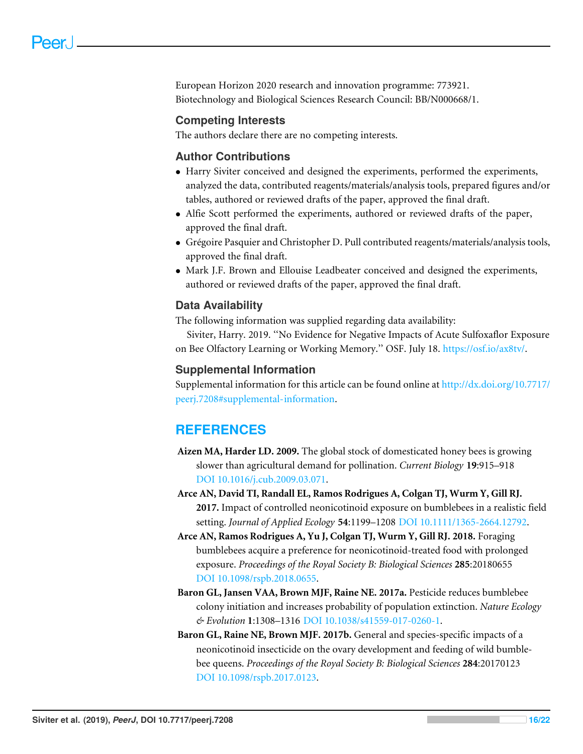European Horizon 2020 research and innovation programme: 773921. Biotechnology and Biological Sciences Research Council: BB/N000668/1.

#### **Competing Interests**

The authors declare there are no competing interests.

#### **Author Contributions**

- [Harry Siviter](#page-0-1) conceived and designed the experiments, performed the experiments, analyzed the data, contributed reagents/materials/analysis tools, prepared figures and/or tables, authored or reviewed drafts of the paper, approved the final draft.
- [Alfie Scott](#page-0-2) performed the experiments, authored or reviewed drafts of the paper, approved the final draft.
- [Grégoire Pasquier](#page-0-3) and [Christopher D. Pull](#page-0-4) contributed reagents/materials/analysis tools, approved the final draft.
- [Mark J.F. Brown](#page-0-5) and [Ellouise Leadbeater](#page-0-6) conceived and designed the experiments, authored or reviewed drafts of the paper, approved the final draft.

#### **Data Availability**

The following information was supplied regarding data availability:

Siviter, Harry. 2019. ''No Evidence for Negative Impacts of Acute Sulfoxaflor Exposure on Bee Olfactory Learning or Working Memory.'' OSF. July 18. [https://osf.io/ax8tv/.](https://osf.io/ax8tv/)

#### **Supplemental Information**

Supplemental information for this article can be found online at [http://dx.doi.org/10.7717/](http://dx.doi.org/10.7717/peerj.7208#supplemental-information) [peerj.7208#supplemental-information.](http://dx.doi.org/10.7717/peerj.7208#supplemental-information)

# **REFERENCES**

- <span id="page-15-0"></span>**Aizen MA, Harder LD. 2009.** The global stock of domesticated honey bees is growing slower than agricultural demand for pollination. *Current Biology* **19**:915–918 [DOI 10.1016/j.cub.2009.03.071.](http://dx.doi.org/10.1016/j.cub.2009.03.071)
- <span id="page-15-4"></span>**Arce AN, David TI, Randall EL, Ramos Rodrigues A, Colgan TJ, Wurm Y, Gill RJ. 2017.** Impact of controlled neonicotinoid exposure on bumblebees in a realistic field setting. *Journal of Applied Ecology* **54**:1199–1208 [DOI 10.1111/1365-2664.12792.](http://dx.doi.org/10.1111/1365-2664.12792)
- <span id="page-15-3"></span>**Arce AN, Ramos Rodrigues A, Yu J, Colgan TJ, Wurm Y, Gill RJ. 2018.** Foraging bumblebees acquire a preference for neonicotinoid-treated food with prolonged exposure. *Proceedings of the Royal Society B: Biological Sciences* **285**:20180655 [DOI 10.1098/rspb.2018.0655.](http://dx.doi.org/10.1098/rspb.2018.0655)
- <span id="page-15-2"></span>**Baron GL, Jansen VAA, Brown MJF, Raine NE. 2017a.** Pesticide reduces bumblebee colony initiation and increases probability of population extinction. *Nature Ecology & Evolution* **1**:1308–1316 [DOI 10.1038/s41559-017-0260-1.](http://dx.doi.org/10.1038/s41559-017-0260-1)
- <span id="page-15-1"></span>**Baron GL, Raine NE, Brown MJF. 2017b.** General and species-specific impacts of a neonicotinoid insecticide on the ovary development and feeding of wild bumblebee queens. *Proceedings of the Royal Society B: Biological Sciences* **284**:20170123 [DOI 10.1098/rspb.2017.0123.](http://dx.doi.org/10.1098/rspb.2017.0123)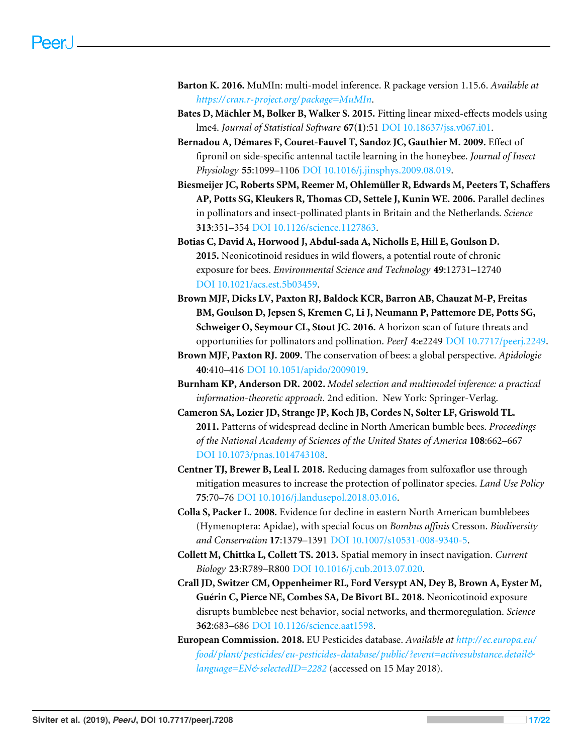- <span id="page-16-11"></span>**Barton K. 2016.** MuMIn: multi-model inference. R package version 1.15.6. *Available at [https:// cran.r-project.org/ package=MuMIn](https://cran.r-project.org/package=MuMIn)*.
- <span id="page-16-10"></span>**Bates D, Mächler M, Bolker B, Walker S. 2015.** Fitting linear mixed-effects models using lme4. *Journal of Statistical Software* **67(1)**:51 [DOI 10.18637/jss.v067.i01.](http://dx.doi.org/10.18637/jss.v067.i01)
- <span id="page-16-12"></span>**Bernadou A, Démares F, Couret-Fauvel T, Sandoz JC, Gauthier M. 2009.** Effect of fipronil on side-specific antennal tactile learning in the honeybee. *Journal of Insect Physiology* **55**:1099–1106 [DOI 10.1016/j.jinsphys.2009.08.019.](http://dx.doi.org/10.1016/j.jinsphys.2009.08.019)
- <span id="page-16-0"></span>**Biesmeijer JC, Roberts SPM, Reemer M, Ohlemüller R, Edwards M, Peeters T, Schaffers AP, Potts SG, Kleukers R, Thomas CD, Settele J, Kunin WE. 2006.** Parallel declines in pollinators and insect-pollinated plants in Britain and the Netherlands. *Science* **313**:351–354 [DOI 10.1126/science.1127863.](http://dx.doi.org/10.1126/science.1127863)
- <span id="page-16-6"></span>**Botias C, David A, Horwood J, Abdul-sada A, Nicholls E, Hill E, Goulson D. 2015.** Neonicotinoid residues in wild flowers, a potential route of chronic exposure for bees. *Environmental Science and Technology* **49**:12731–12740 [DOI 10.1021/acs.est.5b03459.](http://dx.doi.org/10.1021/acs.est.5b03459)
- <span id="page-16-4"></span>**Brown MJF, Dicks LV, Paxton RJ, Baldock KCR, Barron AB, Chauzat M-P, Freitas BM, Goulson D, Jepsen S, Kremen C, Li J, Neumann P, Pattemore DE, Potts SG, Schweiger O, Seymour CL, Stout JC. 2016.** A horizon scan of future threats and opportunities for pollinators and pollination. *PeerJ* **4**:e2249 [DOI 10.7717/peerj.2249.](http://dx.doi.org/10.7717/peerj.2249)
- <span id="page-16-3"></span>**Brown MJF, Paxton RJ. 2009.** The conservation of bees: a global perspective. *Apidologie* **40**:410–416 [DOI 10.1051/apido/2009019.](http://dx.doi.org/10.1051/apido/2009019)
- <span id="page-16-9"></span>**Burnham KP, Anderson DR. 2002.** *Model selection and multimodel inference: a practical information-theoretic approach*. 2nd edition. New York: Springer-Verlag.
- <span id="page-16-2"></span>**Cameron SA, Lozier JD, Strange JP, Koch JB, Cordes N, Solter LF, Griswold TL. 2011.** Patterns of widespread decline in North American bumble bees. *Proceedings of the National Academy of Sciences of the United States of America* **108**:662–667 [DOI 10.1073/pnas.1014743108.](http://dx.doi.org/10.1073/pnas.1014743108)
- <span id="page-16-8"></span>**Centner TJ, Brewer B, Leal I. 2018.** Reducing damages from sulfoxaflor use through mitigation measures to increase the protection of pollinator species. *Land Use Policy* **75**:70–76 [DOI 10.1016/j.landusepol.2018.03.016.](http://dx.doi.org/10.1016/j.landusepol.2018.03.016)
- <span id="page-16-1"></span>**Colla S, Packer L. 2008.** Evidence for decline in eastern North American bumblebees (Hymenoptera: Apidae), with special focus on *Bombus affinis* Cresson. *Biodiversity and Conservation* **17**:1379–1391 [DOI 10.1007/s10531-008-9340-5.](http://dx.doi.org/10.1007/s10531-008-9340-5)
- <span id="page-16-7"></span>**Collett M, Chittka L, Collett TS. 2013.** Spatial memory in insect navigation. *Current Biology* **23**:R789–R800 [DOI 10.1016/j.cub.2013.07.020.](http://dx.doi.org/10.1016/j.cub.2013.07.020)
- <span id="page-16-5"></span>**Crall JD, Switzer CM, Oppenheimer RL, Ford Versypt AN, Dey B, Brown A, Eyster M, Guérin C, Pierce NE, Combes SA, De Bivort BL. 2018.** Neonicotinoid exposure disrupts bumblebee nest behavior, social networks, and thermoregulation. *Science* **362**:683–686 [DOI 10.1126/science.aat1598.](http://dx.doi.org/10.1126/science.aat1598)
- <span id="page-16-13"></span>**European Commission. 2018.** EU Pesticides database. *Available at [http:// ec.europa.eu/](http://ec.europa.eu/food/plant/pesticides/eu-pesticides-database/public/?event=activesubstance.detail&language=EN&selectedID=2282) [food/ plant/ pesticides/ eu-pesticides-database/ public/ ?event=activesubstance.detail&](http://ec.europa.eu/food/plant/pesticides/eu-pesticides-database/public/?event=activesubstance.detail&language=EN&selectedID=2282) [language=EN&selectedID=2282](http://ec.europa.eu/food/plant/pesticides/eu-pesticides-database/public/?event=activesubstance.detail&language=EN&selectedID=2282)* (accessed on 15 May 2018).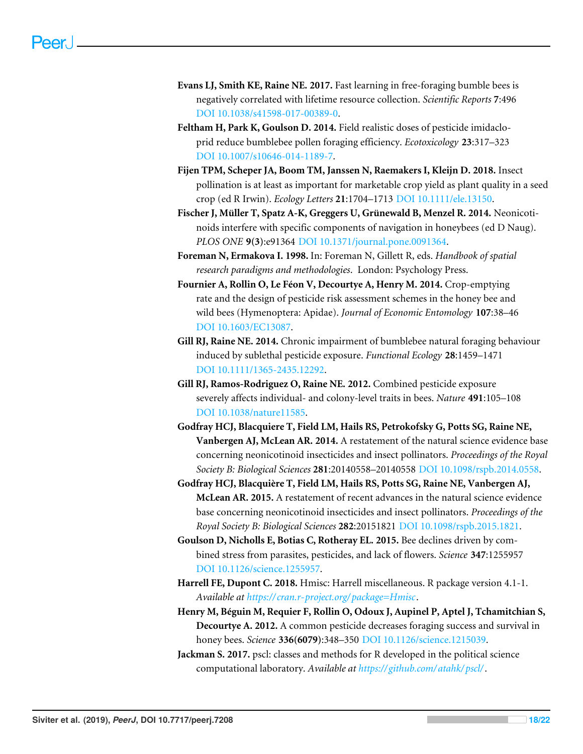- <span id="page-17-13"></span>**Evans LJ, Smith KE, Raine NE. 2017.** Fast learning in free-foraging bumble bees is negatively correlated with lifetime resource collection. *Scientific Reports* **7**:496 [DOI 10.1038/s41598-017-00389-0.](http://dx.doi.org/10.1038/s41598-017-00389-0)
- <span id="page-17-5"></span>**Feltham H, Park K, Goulson D. 2014.** Field realistic doses of pesticide imidacloprid reduce bumblebee pollen foraging efficiency. *Ecotoxicology* **23**:317–323 [DOI 10.1007/s10646-014-1189-7.](http://dx.doi.org/10.1007/s10646-014-1189-7)
- <span id="page-17-0"></span>**Fijen TPM, Scheper JA, Boom TM, Janssen N, Raemakers I, Kleijn D. 2018.** Insect pollination is at least as important for marketable crop yield as plant quality in a seed crop (ed R Irwin). *Ecology Letters* **21**:1704–1713 [DOI 10.1111/ele.13150.](http://dx.doi.org/10.1111/ele.13150)
- <span id="page-17-8"></span>**Fischer J, Müller T, Spatz A-K, Greggers U, Grünewald B, Menzel R. 2014.** Neonicotinoids interfere with specific components of navigation in honeybees (ed D Naug). *PLOS ONE* **9(3)**:e91364 [DOI 10.1371/journal.pone.0091364.](http://dx.doi.org/10.1371/journal.pone.0091364)
- <span id="page-17-9"></span>**Foreman N, Ermakova I. 1998.** In: Foreman N, Gillett R, eds. *Handbook of spatial research paradigms and methodologies*. London: Psychology Press.
- <span id="page-17-10"></span>**Fournier A, Rollin O, Le Féon V, Decourtye A, Henry M. 2014.** Crop-emptying rate and the design of pesticide risk assessment schemes in the honey bee and wild bees (Hymenoptera: Apidae). *Journal of Economic Entomology* **107**:38–46 [DOI 10.1603/EC13087.](http://dx.doi.org/10.1603/EC13087)
- <span id="page-17-6"></span>**Gill RJ, Raine NE. 2014.** Chronic impairment of bumblebee natural foraging behaviour induced by sublethal pesticide exposure. *Functional Ecology* **28**:1459–1471 [DOI 10.1111/1365-2435.12292.](http://dx.doi.org/10.1111/1365-2435.12292)
- <span id="page-17-4"></span>**Gill RJ, Ramos-Rodriguez O, Raine NE. 2012.** Combined pesticide exposure severely affects individual- and colony-level traits in bees. *Nature* **491**:105–108 [DOI 10.1038/nature11585.](http://dx.doi.org/10.1038/nature11585)
- <span id="page-17-2"></span>**Godfray HCJ, Blacquiere T, Field LM, Hails RS, Petrokofsky G, Potts SG, Raine NE, Vanbergen AJ, McLean AR. 2014.** A restatement of the natural science evidence base concerning neonicotinoid insecticides and insect pollinators. *Proceedings of the Royal Society B: Biological Sciences* **281**:20140558–20140558 [DOI 10.1098/rspb.2014.0558.](http://dx.doi.org/10.1098/rspb.2014.0558)
- <span id="page-17-3"></span>**Godfray HCJ, Blacquière T, Field LM, Hails RS, Potts SG, Raine NE, Vanbergen AJ, McLean AR. 2015.** A restatement of recent advances in the natural science evidence base concerning neonicotinoid insecticides and insect pollinators. *Proceedings of the Royal Society B: Biological Sciences* **282**:20151821 [DOI 10.1098/rspb.2015.1821.](http://dx.doi.org/10.1098/rspb.2015.1821)
- <span id="page-17-1"></span>**Goulson D, Nicholls E, Botias C, Rotheray EL. 2015.** Bee declines driven by combined stress from parasites, pesticides, and lack of flowers. *Science* **347**:1255957 [DOI 10.1126/science.1255957.](http://dx.doi.org/10.1126/science.1255957)
- <span id="page-17-11"></span>**Harrell FE, Dupont C. 2018.** Hmisc: Harrell miscellaneous. R package version 4.1-1. *Available at [https:// cran.r-project.org/ package=Hmisc](https://cran.r-project.org/package=Hmisc)*.
- <span id="page-17-7"></span>**Henry M, Béguin M, Requier F, Rollin O, Odoux J, Aupinel P, Aptel J, Tchamitchian S, Decourtye A. 2012.** A common pesticide decreases foraging success and survival in honey bees. *Science* **336(6079)**:348–350 [DOI 10.1126/science.1215039.](http://dx.doi.org/10.1126/science.1215039)
- <span id="page-17-12"></span>**Jackman S. 2017.** pscl: classes and methods for R developed in the political science computational laboratory. *Available at [https:// github.com/ atahk/ pscl/](https://github.com/atahk/pscl/)*.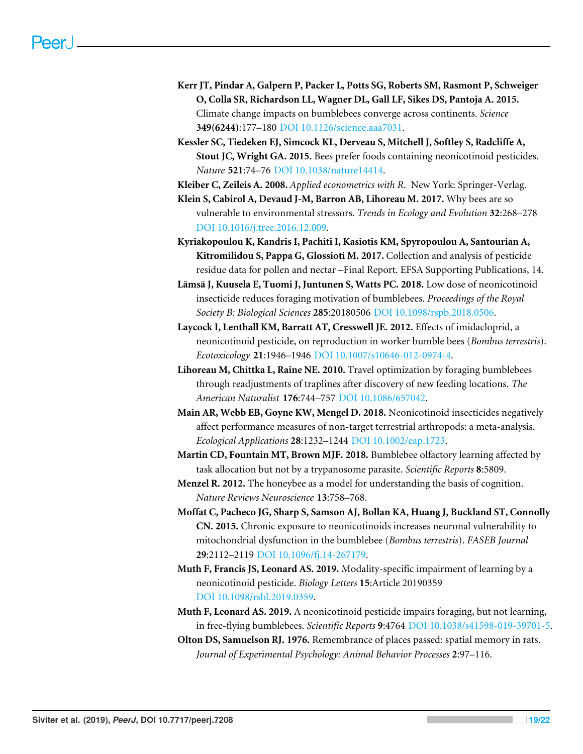- <span id="page-18-0"></span>**Kerr JT, Pindar A, Galpern P, Packer L, Potts SG, Roberts SM, Rasmont P, Schweiger O, Colla SR, Richardson LL, Wagner DL, Gall LF, Sikes DS, Pantoja A. 2015.** Climate change impacts on bumblebees converge across continents. *Science* **349(6244)**:177–180 [DOI 10.1126/science.aaa7031.](http://dx.doi.org/10.1126/science.aaa7031)
- <span id="page-18-1"></span>**Kessler SC, Tiedeken EJ, Simcock KL, Derveau S, Mitchell J, Softley S, Radcliffe A, Stout JC, Wright GA. 2015.** Bees prefer foods containing neonicotinoid pesticides. *Nature* **521**:74–76 [DOI 10.1038/nature14414.](http://dx.doi.org/10.1038/nature14414)
- <span id="page-18-9"></span>**Kleiber C, Zeileis A. 2008.** *Applied econometrics with R*. New York: Springer-Verlag.
- <span id="page-18-12"></span>**Klein S, Cabirol A, Devaud J-M, Barron AB, Lihoreau M. 2017.** Why bees are so vulnerable to environmental stressors. *Trends in Ecology and Evolution* **32**:268–278 [DOI 10.1016/j.tree.2016.12.009.](http://dx.doi.org/10.1016/j.tree.2016.12.009)
- <span id="page-18-5"></span>**Kyriakopoulou K, Kandris I, Pachiti I, Kasiotis KM, Spyropoulou A, Santourian A, Kitromilidou S, Pappa G, Glossioti M. 2017.** Collection and analysis of pesticide residue data for pollen and nectar –Final Report. EFSA Supporting Publications, 14.
- <span id="page-18-3"></span>**Lämsä J, Kuusela E, Tuomi J, Juntunen S, Watts PC. 2018.** Low dose of neonicotinoid insecticide reduces foraging motivation of bumblebees. *Proceedings of the Royal Society B: Biological Sciences* **285**:20180506 [DOI 10.1098/rspb.2018.0506.](http://dx.doi.org/10.1098/rspb.2018.0506)
- <span id="page-18-13"></span>**Laycock I, Lenthall KM, Barratt AT, Cresswell JE. 2012.** Effects of imidacloprid, a neonicotinoid pesticide, on reproduction in worker bumble bees (*Bombus terrestris*). *Ecotoxicology* **21**:1946–1946 [DOI 10.1007/s10646-012-0974-4.](http://dx.doi.org/10.1007/s10646-012-0974-4)
- <span id="page-18-6"></span>**Lihoreau M, Chittka L, Raine NE. 2010.** Travel optimization by foraging bumblebees through readjustments of traplines after discovery of new feeding locations. *The American Naturalist* **176**:744–757 [DOI 10.1086/657042.](http://dx.doi.org/10.1086/657042)
- <span id="page-18-2"></span>**Main AR, Webb EB, Goyne KW, Mengel D. 2018.** Neonicotinoid insecticides negatively affect performance measures of non-target terrestrial arthropods: a meta-analysis. *Ecological Applications* **28**:1232–1244 [DOI 10.1002/eap.1723.](http://dx.doi.org/10.1002/eap.1723)
- <span id="page-18-7"></span>**Martin CD, Fountain MT, Brown MJF. 2018.** Bumblebee olfactory learning affected by task allocation but not by a trypanosome parasite. *Scientific Reports* **8**:5809.
- <span id="page-18-10"></span>**Menzel R. 2012.** The honeybee as a model for understanding the basis of cognition. *Nature Reviews Neuroscience* **13**:758–768.
- <span id="page-18-11"></span>**Moffat C, Pacheco JG, Sharp S, Samson AJ, Bollan KA, Huang J, Buckland ST, Connolly CN. 2015.** Chronic exposure to neonicotinoids increases neuronal vulnerability to mitochondrial dysfunction in the bumblebee (*Bombus terrestris*). *FASEB Journal* **29**:2112–2119 [DOI 10.1096/fj.14-267179.](http://dx.doi.org/10.1096/fj.14-267179)
- **Muth F, Francis JS, Leonard AS. 2019.** Modality-specific impairment of learning by a neonicotinoid pesticide. *Biology Letters* **15**:Article 20190359 [DOI 10.1098/rsbl.2019.0359.](http://dx.doi.org/10.1098/rsbl.2019.0359)
- <span id="page-18-4"></span>**Muth F, Leonard AS. 2019.** A neonicotinoid pesticide impairs foraging, but not learning, in free-flying bumblebees. *Scientific Reports* **9**:4764 [DOI 10.1038/s41598-019-39701-5.](http://dx.doi.org/10.1038/s41598-019-39701-5)
- <span id="page-18-8"></span>**Olton DS, Samuelson RJ. 1976.** Remembrance of places passed: spatial memory in rats. *Journal of Experimental Psychology: Animal Behavior Processes* **2**:97–116.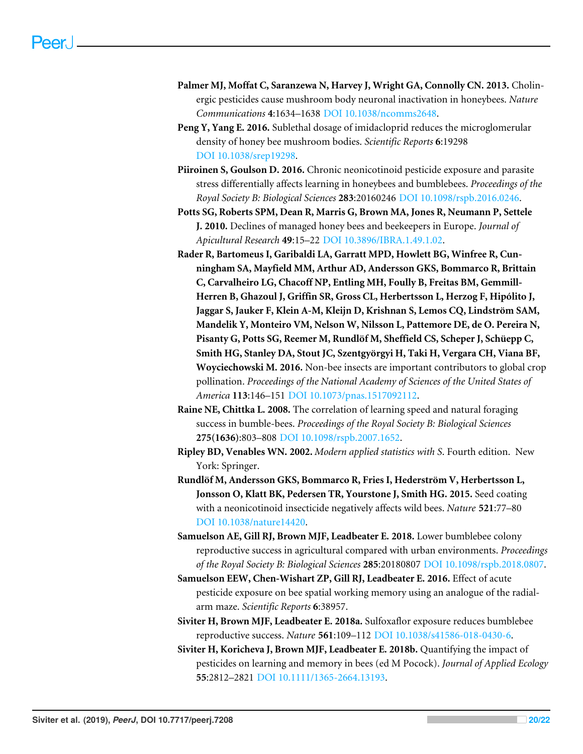- <span id="page-19-9"></span>**Palmer MJ, Moffat C, Saranzewa N, Harvey J, Wright GA, Connolly CN. 2013.** Cholinergic pesticides cause mushroom body neuronal inactivation in honeybees. *Nature Communications* **4**:1634–1638 [DOI 10.1038/ncomms2648.](http://dx.doi.org/10.1038/ncomms2648)
- <span id="page-19-10"></span>**Peng Y, Yang E. 2016.** Sublethal dosage of imidacloprid reduces the microglomerular density of honey bee mushroom bodies. *Scientific Reports* **6**:19298 [DOI 10.1038/srep19298.](http://dx.doi.org/10.1038/srep19298)
- <span id="page-19-7"></span>**Piiroinen S, Goulson D. 2016.** Chronic neonicotinoid pesticide exposure and parasite stress differentially affects learning in honeybees and bumblebees. *Proceedings of the Royal Society B: Biological Sciences* **283**:20160246 [DOI 10.1098/rspb.2016.0246.](http://dx.doi.org/10.1098/rspb.2016.0246)
- <span id="page-19-1"></span>**Potts SG, Roberts SPM, Dean R, Marris G, Brown MA, Jones R, Neumann P, Settele J. 2010.** Declines of managed honey bees and beekeepers in Europe. *Journal of Apicultural Research* **49**:15–22 [DOI 10.3896/IBRA.1.49.1.02.](http://dx.doi.org/10.3896/IBRA.1.49.1.02)
- <span id="page-19-0"></span>**Rader R, Bartomeus I, Garibaldi LA, Garratt MPD, Howlett BG, Winfree R, Cunningham SA, Mayfield MM, Arthur AD, Andersson GKS, Bommarco R, Brittain C, Carvalheiro LG, Chacoff NP, Entling MH, Foully B, Freitas BM, Gemmill-Herren B, Ghazoul J, Griffin SR, Gross CL, Herbertsson L, Herzog F, Hipólito J, Jaggar S, Jauker F, Klein A-M, Kleijn D, Krishnan S, Lemos CQ, Lindström SAM, Mandelik Y, Monteiro VM, Nelson W, Nilsson L, Pattemore DE, de O. Pereira N, Pisanty G, Potts SG, Reemer M, Rundlöf M, Sheffield CS, Scheper J, Schüepp C, Smith HG, Stanley DA, Stout JC, Szentgyörgyi H, Taki H, Vergara CH, Viana BF, Woyciechowski M. 2016.** Non-bee insects are important contributors to global crop pollination. *Proceedings of the National Academy of Sciences of the United States of America* **113**:146–151 [DOI 10.1073/pnas.1517092112.](http://dx.doi.org/10.1073/pnas.1517092112)
- <span id="page-19-11"></span>**Raine NE, Chittka L. 2008.** The correlation of learning speed and natural foraging success in bumble-bees. *Proceedings of the Royal Society B: Biological Sciences* **275(1636)**:803–808 [DOI 10.1098/rspb.2007.1652.](http://dx.doi.org/10.1098/rspb.2007.1652)
- <span id="page-19-8"></span>**Ripley BD, Venables WN. 2002.** *Modern applied statistics with S*. Fourth edition. New York: Springer.
- <span id="page-19-3"></span>**Rundlöf M, Andersson GKS, Bommarco R, Fries I, Hederström V, Herbertsson L, Jonsson O, Klatt BK, Pedersen TR, Yourstone J, Smith HG. 2015.** Seed coating with a neonicotinoid insecticide negatively affects wild bees. *Nature* **521**:77–80 [DOI 10.1038/nature14420.](http://dx.doi.org/10.1038/nature14420)
- <span id="page-19-2"></span>**Samuelson AE, Gill RJ, Brown MJF, Leadbeater E. 2018.** Lower bumblebee colony reproductive success in agricultural compared with urban environments. *Proceedings of the Royal Society B: Biological Sciences* **285**:20180807 [DOI 10.1098/rspb.2018.0807.](http://dx.doi.org/10.1098/rspb.2018.0807)
- <span id="page-19-6"></span>**Samuelson EEW, Chen-Wishart ZP, Gill RJ, Leadbeater E. 2016.** Effect of acute pesticide exposure on bee spatial working memory using an analogue of the radialarm maze. *Scientific Reports* **6**:38957.
- <span id="page-19-5"></span>**Siviter H, Brown MJF, Leadbeater E. 2018a.** Sulfoxaflor exposure reduces bumblebee reproductive success. *Nature* **561**:109–112 [DOI 10.1038/s41586-018-0430-6.](http://dx.doi.org/10.1038/s41586-018-0430-6)
- <span id="page-19-4"></span>**Siviter H, Koricheva J, Brown MJF, Leadbeater E. 2018b.** Quantifying the impact of pesticides on learning and memory in bees (ed M Pocock). *Journal of Applied Ecology* **55**:2812–2821 [DOI 10.1111/1365-2664.13193.](http://dx.doi.org/10.1111/1365-2664.13193)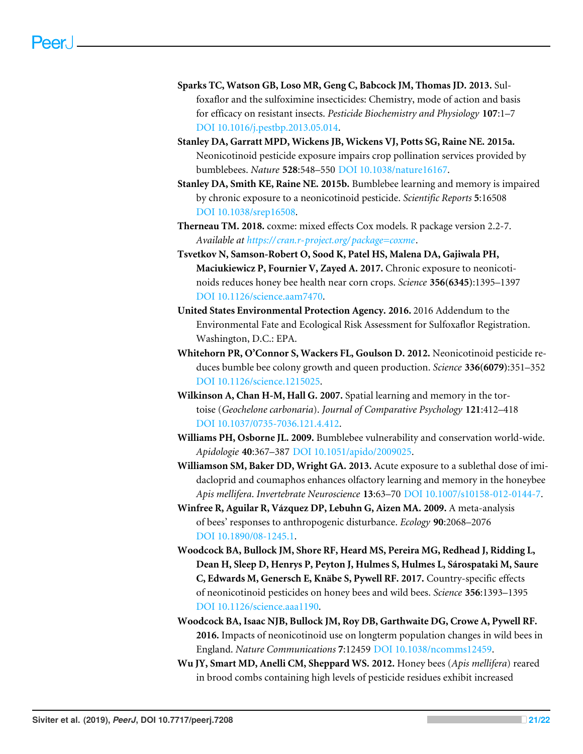- <span id="page-20-7"></span>**Sparks TC, Watson GB, Loso MR, Geng C, Babcock JM, Thomas JD. 2013.** Sulfoxaflor and the sulfoximine insecticides: Chemistry, mode of action and basis for efficacy on resistant insects. *Pesticide Biochemistry and Physiology* **107**:1–7 [DOI 10.1016/j.pestbp.2013.05.014.](http://dx.doi.org/10.1016/j.pestbp.2013.05.014)
- <span id="page-20-3"></span>**Stanley DA, Garratt MPD, Wickens JB, Wickens VJ, Potts SG, Raine NE. 2015a.** Neonicotinoid pesticide exposure impairs crop pollination services provided by bumblebees. *Nature* **528**:548–550 [DOI 10.1038/nature16167.](http://dx.doi.org/10.1038/nature16167)
- <span id="page-20-8"></span>**Stanley DA, Smith KE, Raine NE. 2015b.** Bumblebee learning and memory is impaired by chronic exposure to a neonicotinoid pesticide. *Scientific Reports* **5**:16508 [DOI 10.1038/srep16508.](http://dx.doi.org/10.1038/srep16508)
- <span id="page-20-11"></span>**Therneau TM. 2018.** coxme: mixed effects Cox models. R package version 2.2-7. *Available at [https:// cran.r-project.org/ package=coxme](https://cran.r-project.org/package=coxme)*.
- <span id="page-20-6"></span>**Tsvetkov N, Samson-Robert O, Sood K, Patel HS, Malena DA, Gajiwala PH, Maciukiewicz P, Fournier V, Zayed A. 2017.** Chronic exposure to neonicotinoids reduces honey bee health near corn crops. *Science* **356(6345)**:1395–1397 [DOI 10.1126/science.aam7470.](http://dx.doi.org/10.1126/science.aam7470)
- <span id="page-20-10"></span>**United States Environmental Protection Agency. 2016.** 2016 Addendum to the Environmental Fate and Ecological Risk Assessment for Sulfoxaflor Registration. Washington, D.C.: EPA.
- <span id="page-20-2"></span>**Whitehorn PR, O'Connor S, Wackers FL, Goulson D. 2012.** Neonicotinoid pesticide reduces bumble bee colony growth and queen production. *Science* **336(6079)**:351–352 [DOI 10.1126/science.1215025.](http://dx.doi.org/10.1126/science.1215025)
- <span id="page-20-12"></span>**Wilkinson A, Chan H-M, Hall G. 2007.** Spatial learning and memory in the tortoise (*Geochelone carbonaria*). *Journal of Comparative Psychology* **121**:412–418 [DOI 10.1037/0735-7036.121.4.412.](http://dx.doi.org/10.1037/0735-7036.121.4.412)
- <span id="page-20-0"></span>**Williams PH, Osborne JL. 2009.** Bumblebee vulnerability and conservation world-wide. *Apidologie* **40**:367–387 [DOI 10.1051/apido/2009025.](http://dx.doi.org/10.1051/apido/2009025)
- <span id="page-20-9"></span>**Williamson SM, Baker DD, Wright GA. 2013.** Acute exposure to a sublethal dose of imidacloprid and coumaphos enhances olfactory learning and memory in the honeybee *Apis mellifera*. *Invertebrate Neuroscience* **13**:63–70 [DOI 10.1007/s10158-012-0144-7.](http://dx.doi.org/10.1007/s10158-012-0144-7)
- <span id="page-20-1"></span>**Winfree R, Aguilar R, Vázquez DP, Lebuhn G, Aizen MA. 2009.** A meta-analysis of bees' responses to anthropogenic disturbance. *Ecology* **90**:2068–2076 [DOI 10.1890/08-1245.1.](http://dx.doi.org/10.1890/08-1245.1)
- <span id="page-20-5"></span>**Woodcock BA, Bullock JM, Shore RF, Heard MS, Pereira MG, Redhead J, Ridding L, Dean H, Sleep D, Henrys P, Peyton J, Hulmes S, Hulmes L, Sárospataki M, Saure C, Edwards M, Genersch E, Knäbe S, Pywell RF. 2017.** Country-specific effects of neonicotinoid pesticides on honey bees and wild bees. *Science* **356**:1393–1395 [DOI 10.1126/science.aaa1190.](http://dx.doi.org/10.1126/science.aaa1190)
- <span id="page-20-4"></span>**Woodcock BA, Isaac NJB, Bullock JM, Roy DB, Garthwaite DG, Crowe A, Pywell RF. 2016.** Impacts of neonicotinoid use on longterm population changes in wild bees in England. *Nature Communications* **7**:12459 [DOI 10.1038/ncomms12459.](http://dx.doi.org/10.1038/ncomms12459)
- <span id="page-20-13"></span>**Wu JY, Smart MD, Anelli CM, Sheppard WS. 2012.** Honey bees (*Apis mellifera*) reared in brood combs containing high levels of pesticide residues exhibit increased